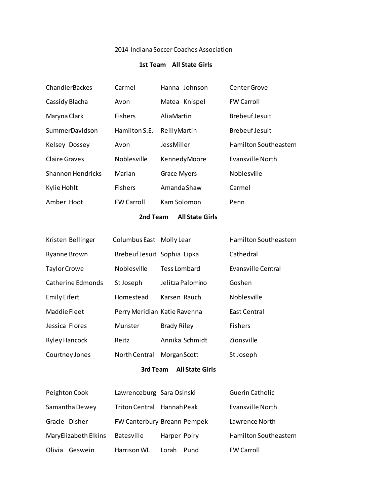### 2014 Indiana Soccer Coaches Association

### **1st Team All State Girls**

| ChandlerBackes           | Carmel            | Hanna Johnson      | Center Grove          |
|--------------------------|-------------------|--------------------|-----------------------|
| Cassidy Blacha           | Avon              | Matea Knispel      | <b>FW Carroll</b>     |
| Maryna Clark             | <b>Fishers</b>    | AliaMartin         | <b>Brebeuf Jesuit</b> |
| SummerDavidson           | Hamilton S.E.     | ReillyMartin       | <b>Brebeuf Jesuit</b> |
| Kelsey Dossey            | Avon              | JessMiller         | Hamilton Southeastern |
| <b>Claire Graves</b>     | Noblesville       | KennedyMoore       | Evansville North      |
| <b>Shannon Hendricks</b> | Marian            | <b>Grace Myers</b> | Noblesville           |
| Kylie Hohlt              | <b>Fishers</b>    | Amanda Shaw        | Carmel                |
| Amber Hoot               | <b>FW Carroll</b> | Kam Solomon        | Penn                  |
|                          |                   |                    |                       |

#### **2nd Team All State Girls**

| Kristen Bellinger    | Columbus East Molly Lear     |                    | Hamilton Southeastern |
|----------------------|------------------------------|--------------------|-----------------------|
| <b>Ryanne Brown</b>  | Brebeuf Jesuit Sophia Lipka  |                    | Cathedral             |
| <b>Taylor Crowe</b>  | <b>Noblesville</b>           | Tess Lombard       | Evansville Central    |
| Catherine Edmonds    | St Joseph                    | Jelitza Palomino   | Goshen                |
| <b>Emily Eifert</b>  | Homestead                    | Karsen Rauch       | <b>Noblesville</b>    |
| Maddie Fleet         | Perry Meridian Katie Ravenna |                    | East Central          |
| Jessica Flores       | Munster                      | <b>Brady Riley</b> | <b>Fishers</b>        |
| <b>Ryley Hancock</b> | Reitz                        | Annika Schmidt     | Zionsville            |
| Courtney Jones       | North Central                | Morgan Scott       | St Joseph             |
|                      |                              |                    |                       |

# **3rd Team All State Girls**

| Peighton Cook        | Lawrenceburg Sara Osinski |                             | Guerin Catholic       |
|----------------------|---------------------------|-----------------------------|-----------------------|
| Samantha Dewey       | <b>Triton Central</b>     | Hannah Peak                 | Evansville North      |
| Gracie Disher        |                           | FW Canterbury Breann Pempek | Lawrence North        |
| MaryElizabeth Elkins | Batesville                | Harper Poiry                | Hamilton Southeastern |
| Olivia<br>Geswein    | Harrison WL               | Lorah<br>Pund               | <b>FW Carroll</b>     |